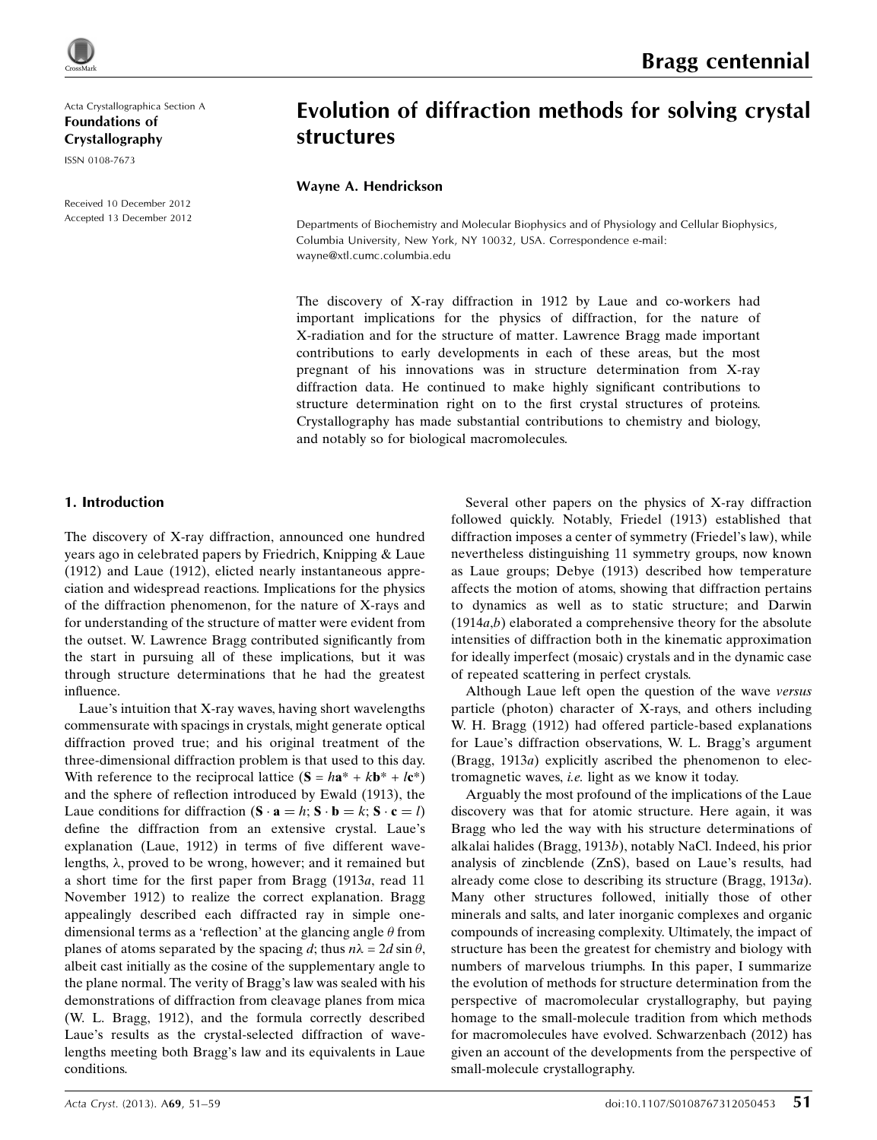

Acta Crystallographica Section A Foundations of Crystallography

ISSN 0108-7673

Received 10 December 2012 Accepted 13 December 2012

# Evolution of diffraction methods for solving crystal structures

## Wayne A. Hendrickson

Departments of Biochemistry and Molecular Biophysics and of Physiology and Cellular Biophysics, Columbia University, New York, NY 10032, USA. Correspondence e-mail: [wayne@xtl.cumc.columbia.edu](http://scripts.iucr.org/cgi-bin/cr.cgi?rm=pdfbb&cnor=wl0020&bbid=BB117)

The discovery of X-ray diffraction in 1912 by Laue and co-workers had important implications for the physics of diffraction, for the nature of X-radiation and for the structure of matter. Lawrence Bragg made important contributions to early developments in each of these areas, but the most pregnant of his innovations was in structure determination from X-ray diffraction data. He continued to make highly significant contributions to structure determination right on to the first crystal structures of proteins. Crystallography has made substantial contributions to chemistry and biology, and notably so for biological macromolecules.

## 1. Introduction

The discovery of X-ray diffraction, announced one hundred years ago in celebrated papers by Friedrich, Knipping & Laue (1912) and Laue (1912), elicted nearly instantaneous appreciation and widespread reactions. Implications for the physics of the diffraction phenomenon, for the nature of X-rays and for understanding of the structure of matter were evident from the outset. W. Lawrence Bragg contributed significantly from the start in pursuing all of these implications, but it was through structure determinations that he had the greatest influence.

Laue's intuition that X-ray waves, having short wavelengths commensurate with spacings in crystals, might generate optical diffraction proved true; and his original treatment of the three-dimensional diffraction problem is that used to this day. With reference to the reciprocal lattice  $(S = ha^* + kb^* + lc^*)$ and the sphere of reflection introduced by Ewald (1913), the Laue conditions for diffraction  $(\mathbf{S} \cdot \mathbf{a} = h; \mathbf{S} \cdot \mathbf{b} = k; \mathbf{S} \cdot \mathbf{c} = l)$ define the diffraction from an extensive crystal. Laue's explanation (Laue, 1912) in terms of five different wavelengths,  $\lambda$ , proved to be wrong, however; and it remained but a short time for the first paper from Bragg (1913a, read 11 November 1912) to realize the correct explanation. Bragg appealingly described each diffracted ray in simple onedimensional terms as a 'reflection' at the glancing angle  $\theta$  from planes of atoms separated by the spacing d; thus  $n\lambda = 2d \sin \theta$ , albeit cast initially as the cosine of the supplementary angle to the plane normal. The verity of Bragg's law was sealed with his demonstrations of diffraction from cleavage planes from mica (W. L. Bragg, 1912), and the formula correctly described Laue's results as the crystal-selected diffraction of wavelengths meeting both Bragg's law and its equivalents in Laue conditions.

Several other papers on the physics of X-ray diffraction followed quickly. Notably, Friedel (1913) established that diffraction imposes a center of symmetry (Friedel's law), while nevertheless distinguishing 11 symmetry groups, now known as Laue groups; Debye (1913) described how temperature affects the motion of atoms, showing that diffraction pertains to dynamics as well as to static structure; and Darwin  $(1914a,b)$  elaborated a comprehensive theory for the absolute intensities of diffraction both in the kinematic approximation for ideally imperfect (mosaic) crystals and in the dynamic case of repeated scattering in perfect crystals.

Although Laue left open the question of the wave versus particle (photon) character of X-rays, and others including W. H. Bragg (1912) had offered particle-based explanations for Laue's diffraction observations, W. L. Bragg's argument (Bragg, 1913a) explicitly ascribed the phenomenon to electromagnetic waves, i.e. light as we know it today.

Arguably the most profound of the implications of the Laue discovery was that for atomic structure. Here again, it was Bragg who led the way with his structure determinations of alkalai halides (Bragg, 1913b), notably NaCl. Indeed, his prior analysis of zincblende (ZnS), based on Laue's results, had already come close to describing its structure (Bragg, 1913a). Many other structures followed, initially those of other minerals and salts, and later inorganic complexes and organic compounds of increasing complexity. Ultimately, the impact of structure has been the greatest for chemistry and biology with numbers of marvelous triumphs. In this paper, I summarize the evolution of methods for structure determination from the perspective of macromolecular crystallography, but paying homage to the small-molecule tradition from which methods for macromolecules have evolved. Schwarzenbach (2012) has given an account of the developments from the perspective of small-molecule crystallography.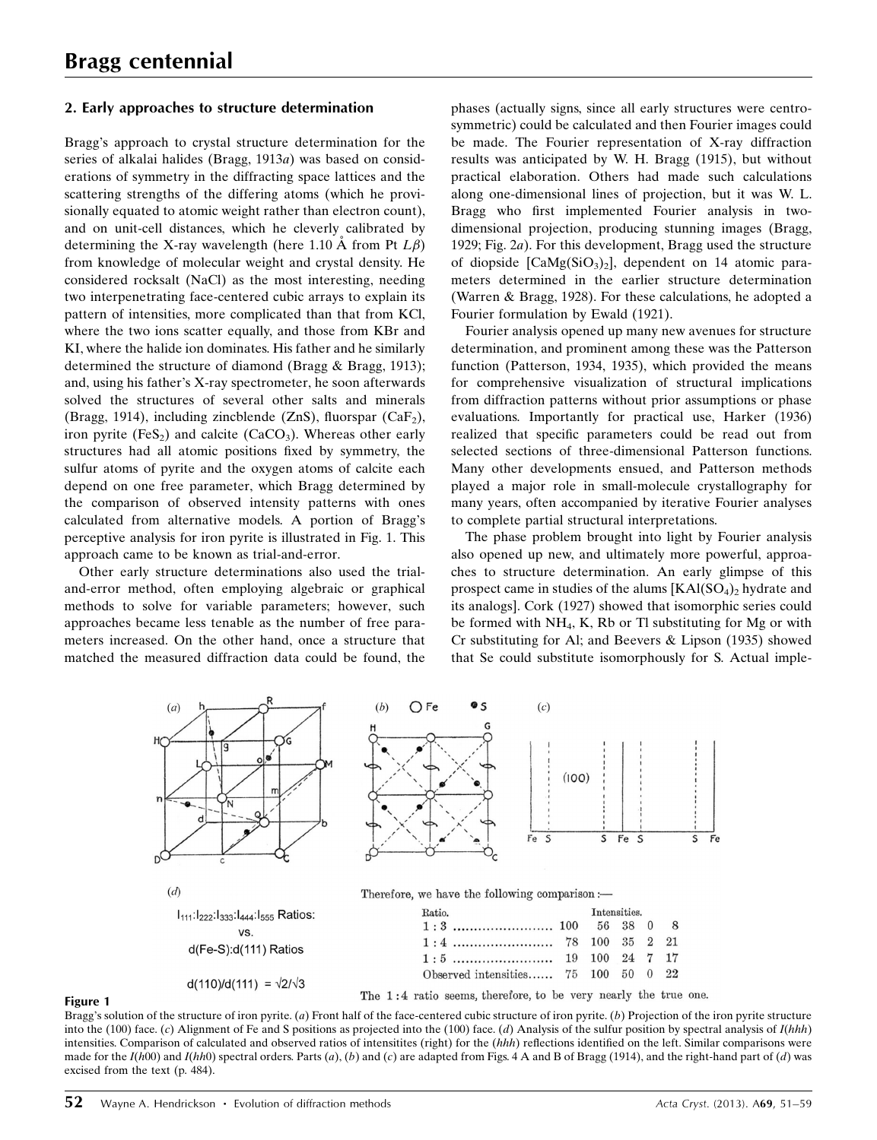## 2. Early approaches to structure determination

Bragg's approach to crystal structure determination for the series of alkalai halides (Bragg, 1913a) was based on considerations of symmetry in the diffracting space lattices and the scattering strengths of the differing atoms (which he provisionally equated to atomic weight rather than electron count), and on unit-cell distances, which he cleverly calibrated by determining the X-ray wavelength (here 1.10  $\dot{A}$  from Pt  $L\beta$ ) from knowledge of molecular weight and crystal density. He considered rocksalt (NaCl) as the most interesting, needing two interpenetrating face-centered cubic arrays to explain its pattern of intensities, more complicated than that from KCl, where the two ions scatter equally, and those from KBr and KI, where the halide ion dominates. His father and he similarly determined the structure of diamond (Bragg & Bragg, 1913); and, using his father's X-ray spectrometer, he soon afterwards solved the structures of several other salts and minerals (Bragg, 1914), including zincblende (ZnS), fluorspar (CaF<sub>2</sub>), iron pyrite  $(F \in S_2)$  and calcite  $(CaCO_3)$ . Whereas other early structures had all atomic positions fixed by symmetry, the sulfur atoms of pyrite and the oxygen atoms of calcite each depend on one free parameter, which Bragg determined by the comparison of observed intensity patterns with ones calculated from alternative models. A portion of Bragg's perceptive analysis for iron pyrite is illustrated in Fig. 1. This approach came to be known as trial-and-error.

Other early structure determinations also used the trialand-error method, often employing algebraic or graphical methods to solve for variable parameters; however, such approaches became less tenable as the number of free parameters increased. On the other hand, once a structure that matched the measured diffraction data could be found, the

phases (actually signs, since all early structures were centrosymmetric) could be calculated and then Fourier images could be made. The Fourier representation of X-ray diffraction results was anticipated by W. H. Bragg (1915), but without practical elaboration. Others had made such calculations along one-dimensional lines of projection, but it was W. L. Bragg who first implemented Fourier analysis in twodimensional projection, producing stunning images (Bragg, 1929; Fig. 2a). For this development, Bragg used the structure of diopside  $[CaMg(SiO<sub>3</sub>)<sub>2</sub>]$ , dependent on 14 atomic parameters determined in the earlier structure determination (Warren & Bragg, 1928). For these calculations, he adopted a Fourier formulation by Ewald (1921).

Fourier analysis opened up many new avenues for structure determination, and prominent among these was the Patterson function (Patterson, 1934, 1935), which provided the means for comprehensive visualization of structural implications from diffraction patterns without prior assumptions or phase evaluations. Importantly for practical use, Harker (1936) realized that specific parameters could be read out from selected sections of three-dimensional Patterson functions. Many other developments ensued, and Patterson methods played a major role in small-molecule crystallography for many years, often accompanied by iterative Fourier analyses to complete partial structural interpretations.

The phase problem brought into light by Fourier analysis also opened up new, and ultimately more powerful, approaches to structure determination. An early glimpse of this prospect came in studies of the alums  $[KAI(SO<sub>4</sub>)<sub>2</sub>$  hydrate and its analogs]. Cork (1927) showed that isomorphic series could be formed with NH4, K, Rb or Tl substituting for Mg or with Cr substituting for Al; and Beevers & Lipson (1935) showed that Se could substitute isomorphously for S. Actual imple-



#### Figure 1

Bragg's solution of the structure of iron pyrite. (a) Front half of the face-centered cubic structure of iron pyrite. (b) Projection of the iron pyrite structure into the (100) face. (c) Alignment of Fe and S positions as projected into the (100) face. (d) Analysis of the sulfur position by spectral analysis of  $I(hhh)$ intensities. Comparison of calculated and observed ratios of intensitites (right) for the (hhh) reflections identified on the left. Similar comparisons were made for the  $I(h00)$  and  $I(hh0)$  spectral orders. Parts  $(a)$ ,  $(b)$  and  $(c)$  are adapted from Figs. 4 A and B of Bragg (1914), and the right-hand part of  $(d)$  was excised from the text (p. 484).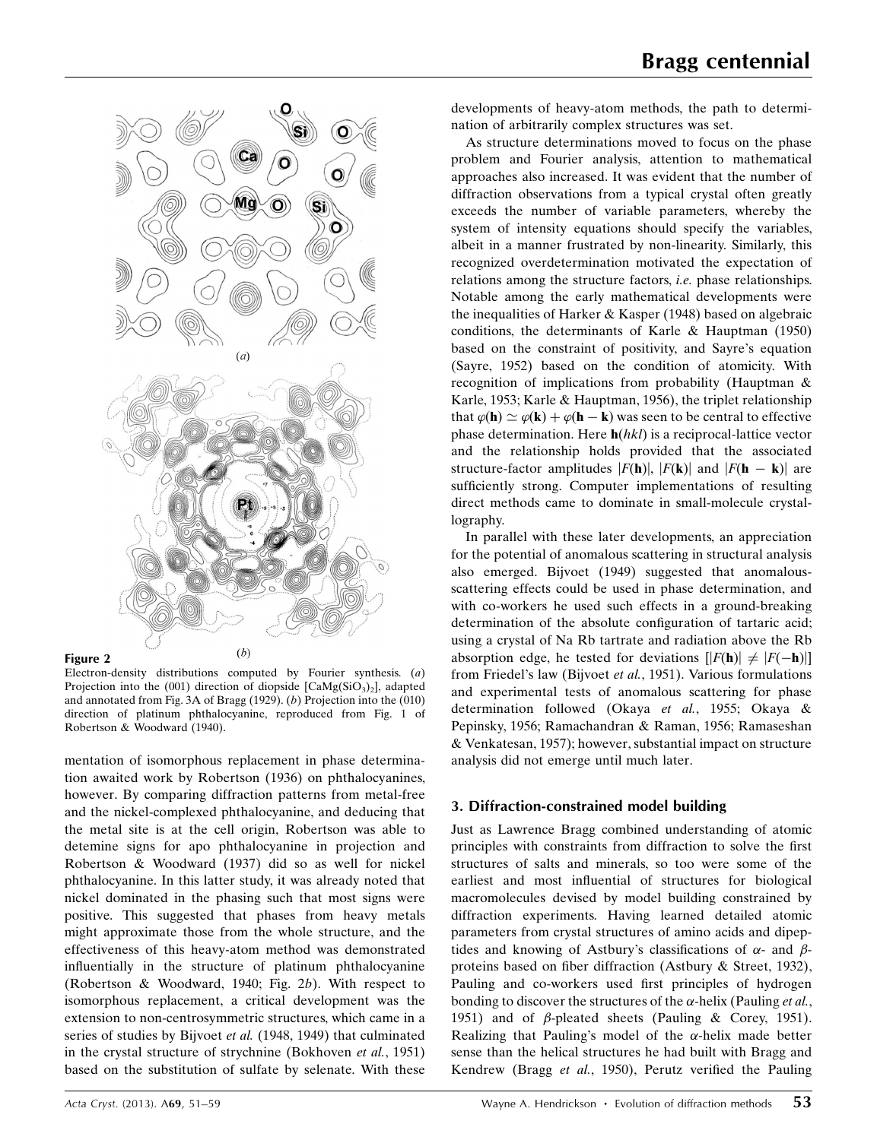

### Figure 2

Electron-density distributions computed by Fourier synthesis. (a) Projection into the (001) direction of diopside  $[CaMg(SiO<sub>3</sub>)<sub>2</sub>]$ , adapted and annotated from Fig. 3A of Bragg (1929). (b) Projection into the (010) direction of platinum phthalocyanine, reproduced from Fig. 1 of Robertson & Woodward (1940).

mentation of isomorphous replacement in phase determination awaited work by Robertson (1936) on phthalocyanines, however. By comparing diffraction patterns from metal-free and the nickel-complexed phthalocyanine, and deducing that the metal site is at the cell origin, Robertson was able to detemine signs for apo phthalocyanine in projection and Robertson & Woodward (1937) did so as well for nickel phthalocyanine. In this latter study, it was already noted that nickel dominated in the phasing such that most signs were positive. This suggested that phases from heavy metals might approximate those from the whole structure, and the effectiveness of this heavy-atom method was demonstrated influentially in the structure of platinum phthalocyanine (Robertson & Woodward, 1940; Fig. 2b). With respect to isomorphous replacement, a critical development was the extension to non-centrosymmetric structures, which came in a series of studies by Bijvoet et al. (1948, 1949) that culminated in the crystal structure of strychnine (Bokhoven et al., 1951) based on the substitution of sulfate by selenate. With these developments of heavy-atom methods, the path to determination of arbitrarily complex structures was set.

As structure determinations moved to focus on the phase problem and Fourier analysis, attention to mathematical approaches also increased. It was evident that the number of diffraction observations from a typical crystal often greatly exceeds the number of variable parameters, whereby the system of intensity equations should specify the variables, albeit in a manner frustrated by non-linearity. Similarly, this recognized overdetermination motivated the expectation of relations among the structure factors, i.e. phase relationships. Notable among the early mathematical developments were the inequalities of Harker & Kasper (1948) based on algebraic conditions, the determinants of Karle & Hauptman (1950) based on the constraint of positivity, and Sayre's equation (Sayre, 1952) based on the condition of atomicity. With recognition of implications from probability (Hauptman & Karle, 1953; Karle & Hauptman, 1956), the triplet relationship that  $\varphi(\mathbf{h}) \simeq \varphi(\mathbf{k}) + \varphi(\mathbf{h} - \mathbf{k})$  was seen to be central to effective phase determination. Here  $h(hkl)$  is a reciprocal-lattice vector and the relationship holds provided that the associated structure-factor amplitudes  $|F(\mathbf{h})|, |F(\mathbf{k})|$  and  $|F(\mathbf{h} - \mathbf{k})|$  are sufficiently strong. Computer implementations of resulting direct methods came to dominate in small-molecule crystallography.

In parallel with these later developments, an appreciation for the potential of anomalous scattering in structural analysis also emerged. Bijvoet (1949) suggested that anomalousscattering effects could be used in phase determination, and with co-workers he used such effects in a ground-breaking determination of the absolute configuration of tartaric acid; using a crystal of Na Rb tartrate and radiation above the Rb absorption edge, he tested for deviations  $[|F(\mathbf{h})| \neq |F(-\mathbf{h})|]$ from Friedel's law (Bijvoet et al., 1951). Various formulations and experimental tests of anomalous scattering for phase determination followed (Okaya et al., 1955; Okaya & Pepinsky, 1956; Ramachandran & Raman, 1956; Ramaseshan & Venkatesan, 1957); however, substantial impact on structure analysis did not emerge until much later.

## 3. Diffraction-constrained model building

Just as Lawrence Bragg combined understanding of atomic principles with constraints from diffraction to solve the first structures of salts and minerals, so too were some of the earliest and most influential of structures for biological macromolecules devised by model building constrained by diffraction experiments. Having learned detailed atomic parameters from crystal structures of amino acids and dipeptides and knowing of Astbury's classifications of  $\alpha$ - and  $\beta$ proteins based on fiber diffraction (Astbury & Street, 1932), Pauling and co-workers used first principles of hydrogen bonding to discover the structures of the  $\alpha$ -helix (Pauling *et al.*, 1951) and of  $\beta$ -pleated sheets (Pauling & Corey, 1951). Realizing that Pauling's model of the  $\alpha$ -helix made better sense than the helical structures he had built with Bragg and Kendrew (Bragg et al., 1950), Perutz verified the Pauling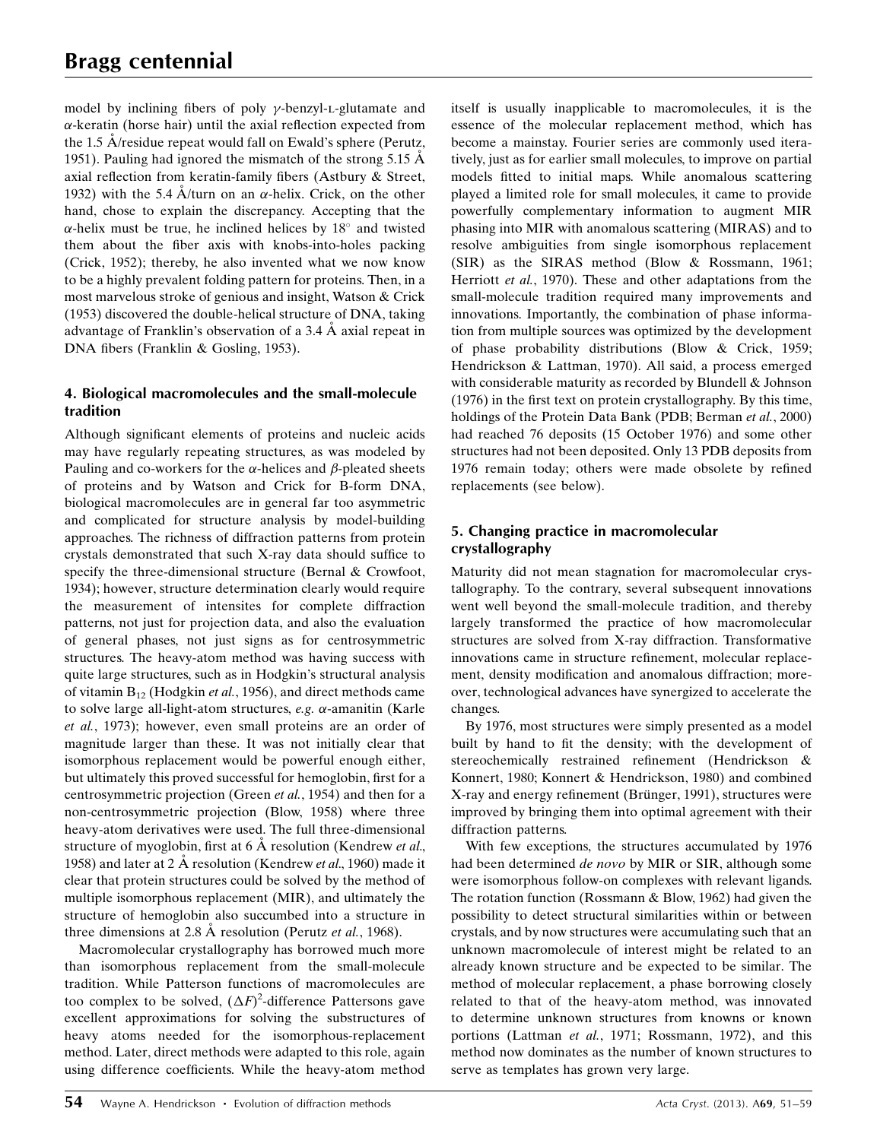model by inclining fibers of poly  $\gamma$ -benzyl-L-glutamate and  $\alpha$ -keratin (horse hair) until the axial reflection expected from the 1.5  $\AA$ /residue repeat would fall on Ewald's sphere (Perutz, 1951). Pauling had ignored the mismatch of the strong 5.15  $\AA$ axial reflection from keratin-family fibers (Astbury & Street, 1932) with the 5.4  $\AA$ /turn on an  $\alpha$ -helix. Crick, on the other hand, chose to explain the discrepancy. Accepting that the  $\alpha$ -helix must be true, he inclined helices by 18° and twisted them about the fiber axis with knobs-into-holes packing (Crick, 1952); thereby, he also invented what we now know to be a highly prevalent folding pattern for proteins. Then, in a most marvelous stroke of genious and insight, Watson & Crick (1953) discovered the double-helical structure of DNA, taking advantage of Franklin's observation of a  $3.4 \text{ Å}$  axial repeat in DNA fibers (Franklin & Gosling, 1953).

## 4. Biological macromolecules and the small-molecule tradition

Although significant elements of proteins and nucleic acids may have regularly repeating structures, as was modeled by Pauling and co-workers for the  $\alpha$ -helices and  $\beta$ -pleated sheets of proteins and by Watson and Crick for B-form DNA, biological macromolecules are in general far too asymmetric and complicated for structure analysis by model-building approaches. The richness of diffraction patterns from protein crystals demonstrated that such X-ray data should suffice to specify the three-dimensional structure (Bernal & Crowfoot, 1934); however, structure determination clearly would require the measurement of intensites for complete diffraction patterns, not just for projection data, and also the evaluation of general phases, not just signs as for centrosymmetric structures. The heavy-atom method was having success with quite large structures, such as in Hodgkin's structural analysis of vitamin  $B_{12}$  (Hodgkin *et al.*, 1956), and direct methods came to solve large all-light-atom structures,  $e.g.$   $\alpha$ -amanitin (Karle et al., 1973); however, even small proteins are an order of magnitude larger than these. It was not initially clear that isomorphous replacement would be powerful enough either, but ultimately this proved successful for hemoglobin, first for a centrosymmetric projection (Green et al., 1954) and then for a non-centrosymmetric projection (Blow, 1958) where three heavy-atom derivatives were used. The full three-dimensional structure of myoglobin, first at  $6 \text{ Å}$  resolution (Kendrew *et al.*, 1958) and later at 2 Å resolution (Kendrew et al., 1960) made it clear that protein structures could be solved by the method of multiple isomorphous replacement (MIR), and ultimately the structure of hemoglobin also succumbed into a structure in three dimensions at 2.8  $\AA$  resolution (Perutz *et al.*, 1968).

Macromolecular crystallography has borrowed much more than isomorphous replacement from the small-molecule tradition. While Patterson functions of macromolecules are too complex to be solved,  $(\Delta F)^2$ -difference Pattersons gave excellent approximations for solving the substructures of heavy atoms needed for the isomorphous-replacement method. Later, direct methods were adapted to this role, again using difference coefficients. While the heavy-atom method itself is usually inapplicable to macromolecules, it is the essence of the molecular replacement method, which has become a mainstay. Fourier series are commonly used iteratively, just as for earlier small molecules, to improve on partial models fitted to initial maps. While anomalous scattering played a limited role for small molecules, it came to provide powerfully complementary information to augment MIR phasing into MIR with anomalous scattering (MIRAS) and to resolve ambiguities from single isomorphous replacement (SIR) as the SIRAS method (Blow & Rossmann, 1961; Herriott et al., 1970). These and other adaptations from the small-molecule tradition required many improvements and innovations. Importantly, the combination of phase information from multiple sources was optimized by the development of phase probability distributions (Blow & Crick, 1959; Hendrickson & Lattman, 1970). All said, a process emerged with considerable maturity as recorded by Blundell & Johnson (1976) in the first text on protein crystallography. By this time, holdings of the Protein Data Bank (PDB; Berman et al., 2000) had reached 76 deposits (15 October 1976) and some other structures had not been deposited. Only 13 PDB deposits from 1976 remain today; others were made obsolete by refined replacements (see below).

## 5. Changing practice in macromolecular crystallography

Maturity did not mean stagnation for macromolecular crystallography. To the contrary, several subsequent innovations went well beyond the small-molecule tradition, and thereby largely transformed the practice of how macromolecular structures are solved from X-ray diffraction. Transformative innovations came in structure refinement, molecular replacement, density modification and anomalous diffraction; moreover, technological advances have synergized to accelerate the changes.

By 1976, most structures were simply presented as a model built by hand to fit the density; with the development of stereochemically restrained refinement (Hendrickson & Konnert, 1980; Konnert & Hendrickson, 1980) and combined X-ray and energy refinement (Brünger, 1991), structures were improved by bringing them into optimal agreement with their diffraction patterns.

With few exceptions, the structures accumulated by 1976 had been determined de novo by MIR or SIR, although some were isomorphous follow-on complexes with relevant ligands. The rotation function (Rossmann & Blow, 1962) had given the possibility to detect structural similarities within or between crystals, and by now structures were accumulating such that an unknown macromolecule of interest might be related to an already known structure and be expected to be similar. The method of molecular replacement, a phase borrowing closely related to that of the heavy-atom method, was innovated to determine unknown structures from knowns or known portions (Lattman et al., 1971; Rossmann, 1972), and this method now dominates as the number of known structures to serve as templates has grown very large.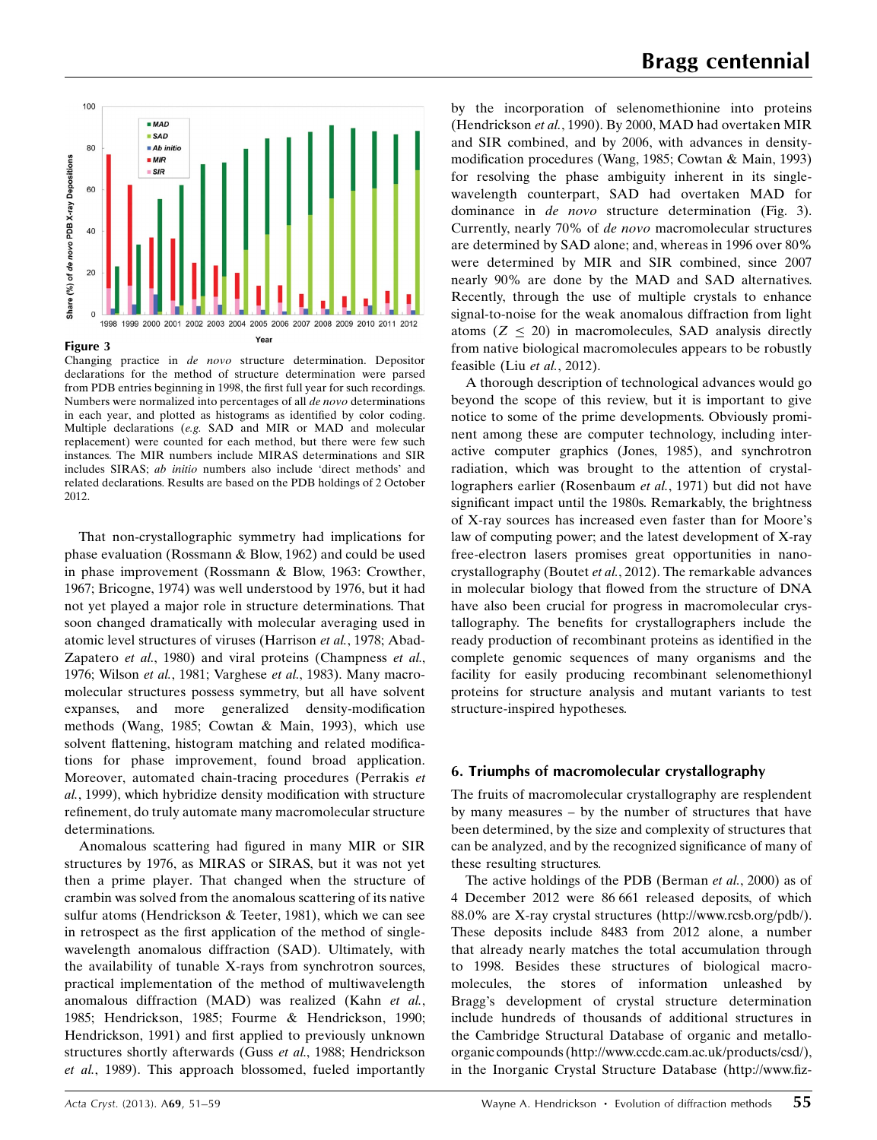

Changing practice in de novo structure determination. Depositor declarations for the method of structure determination were parsed from PDB entries beginning in 1998, the first full year for such recordings. Numbers were normalized into percentages of all de novo determinations in each year, and plotted as histograms as identified by color coding. Multiple declarations (e.g. SAD and MIR or MAD and molecular replacement) were counted for each method, but there were few such instances. The MIR numbers include MIRAS determinations and SIR includes SIRAS; ab initio numbers also include 'direct methods' and related declarations. Results are based on the PDB holdings of 2 October 2012.

That non-crystallographic symmetry had implications for phase evaluation (Rossmann & Blow, 1962) and could be used in phase improvement (Rossmann & Blow, 1963: Crowther, 1967; Bricogne, 1974) was well understood by 1976, but it had not yet played a major role in structure determinations. That soon changed dramatically with molecular averaging used in atomic level structures of viruses (Harrison et al., 1978; Abad-Zapatero et al., 1980) and viral proteins (Champness et al., 1976; Wilson et al., 1981; Varghese et al., 1983). Many macromolecular structures possess symmetry, but all have solvent expanses, and more generalized density-modification methods (Wang, 1985; Cowtan & Main, 1993), which use solvent flattening, histogram matching and related modifications for phase improvement, found broad application. Moreover, automated chain-tracing procedures (Perrakis et al., 1999), which hybridize density modification with structure refinement, do truly automate many macromolecular structure determinations.

Anomalous scattering had figured in many MIR or SIR structures by 1976, as MIRAS or SIRAS, but it was not yet then a prime player. That changed when the structure of crambin was solved from the anomalous scattering of its native sulfur atoms (Hendrickson & Teeter, 1981), which we can see in retrospect as the first application of the method of singlewavelength anomalous diffraction (SAD). Ultimately, with the availability of tunable X-rays from synchrotron sources, practical implementation of the method of multiwavelength anomalous diffraction (MAD) was realized (Kahn et al., 1985; Hendrickson, 1985; Fourme & Hendrickson, 1990; Hendrickson, 1991) and first applied to previously unknown structures shortly afterwards (Guss et al., 1988; Hendrickson et al., 1989). This approach blossomed, fueled importantly by the incorporation of selenomethionine into proteins (Hendrickson et al., 1990). By 2000, MAD had overtaken MIR and SIR combined, and by 2006, with advances in densitymodification procedures (Wang, 1985; Cowtan & Main, 1993) for resolving the phase ambiguity inherent in its singlewavelength counterpart, SAD had overtaken MAD for dominance in de novo structure determination (Fig. 3). Currently, nearly 70% of de novo macromolecular structures are determined by SAD alone; and, whereas in 1996 over 80% were determined by MIR and SIR combined, since 2007 nearly 90% are done by the MAD and SAD alternatives. Recently, through the use of multiple crystals to enhance signal-to-noise for the weak anomalous diffraction from light atoms  $(Z \leq 20)$  in macromolecules, SAD analysis directly from native biological macromolecules appears to be robustly feasible (Liu et al., 2012).

A thorough description of technological advances would go beyond the scope of this review, but it is important to give notice to some of the prime developments. Obviously prominent among these are computer technology, including interactive computer graphics (Jones, 1985), and synchrotron radiation, which was brought to the attention of crystallographers earlier (Rosenbaum et al., 1971) but did not have significant impact until the 1980s. Remarkably, the brightness of X-ray sources has increased even faster than for Moore's law of computing power; and the latest development of X-ray free-electron lasers promises great opportunities in nanocrystallography (Boutet et al., 2012). The remarkable advances in molecular biology that flowed from the structure of DNA have also been crucial for progress in macromolecular crystallography. The benefits for crystallographers include the ready production of recombinant proteins as identified in the complete genomic sequences of many organisms and the facility for easily producing recombinant selenomethionyl proteins for structure analysis and mutant variants to test structure-inspired hypotheses.

## 6. Triumphs of macromolecular crystallography

The fruits of macromolecular crystallography are resplendent by many measures – by the number of structures that have been determined, by the size and complexity of structures that can be analyzed, and by the recognized significance of many of these resulting structures.

The active holdings of the PDB (Berman et al., 2000) as of 4 December 2012 were 86 661 released deposits, of which 88.0% are X-ray crystal structures (http://www.rcsb.org/pdb/). These deposits include 8483 from 2012 alone, a number that already nearly matches the total accumulation through to 1998. Besides these structures of biological macromolecules, the stores of information unleashed by Bragg's development of crystal structure determination include hundreds of thousands of additional structures in the Cambridge Structural Database of organic and metalloorganic compounds (http://www.ccdc.cam.ac.uk/products/csd/), in the Inorganic Crystal Structure Database (http://www.fiz-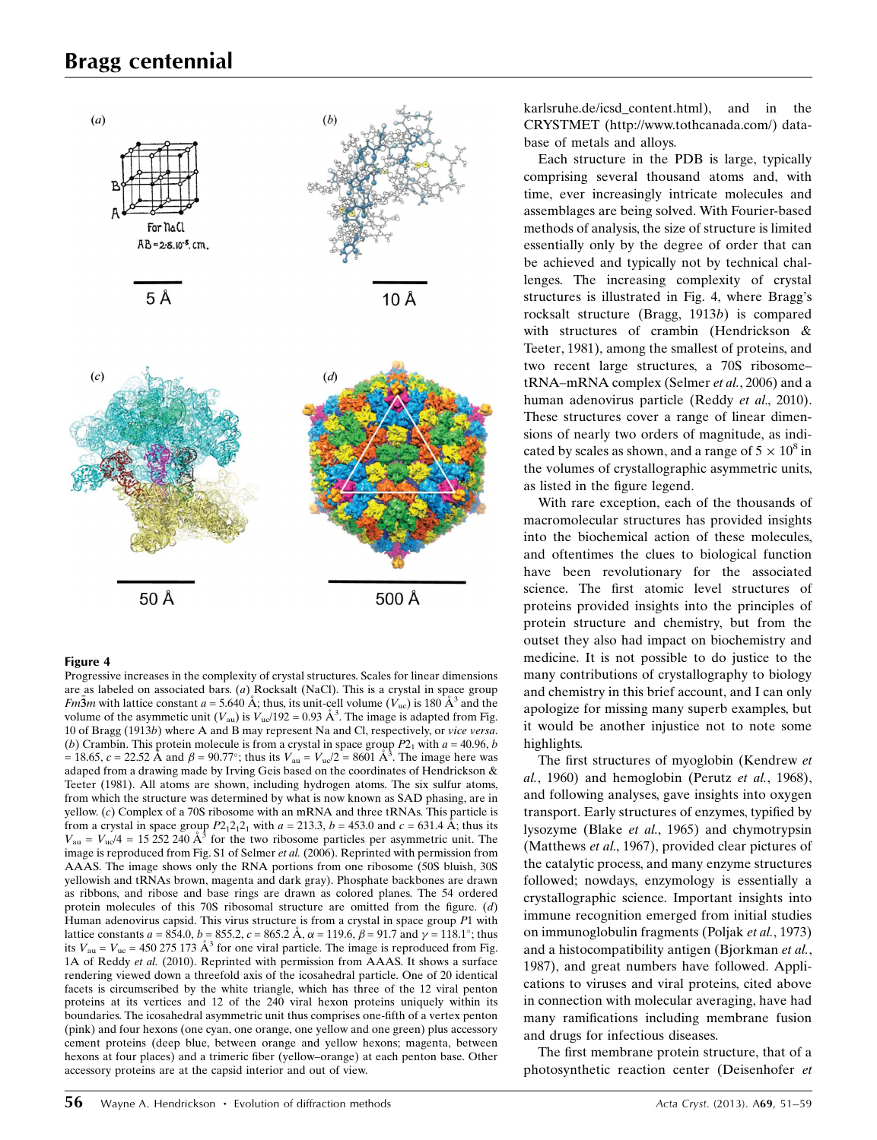# Bragg centennial



#### Figure 4

Progressive increases in the complexity of crystal structures. Scales for linear dimensions are as labeled on associated bars. (a) Rocksalt (NaCl). This is a crystal in space group *Fm*3*m* with lattice constant  $a = 5.640$  Å; thus, its unit-cell volume ( $V_{\text{uc}}$ ) is 180 Å<sup>3</sup> and the volume of the asymmetic unit  $(V_{\text{au}})$  is  $V_{\text{uc}}/192 = 0.93 \text{ Å}^3$ . The image is adapted from Fig. 10 of Bragg (1913b) where A and B may represent Na and Cl, respectively, or vice versa. (b) Crambin. This protein molecule is from a crystal in space group  $P2<sub>1</sub>$  with  $a = 40.96$ , b = 18.65,  $c = 22.52$  Å and  $\beta = 90.77^{\circ}$ ; thus its  $V_{\text{au}} = V_{\text{uc}}/2 = 8601$  Å<sup>3</sup>. The image here was adaped from a drawing made by Irving Geis based on the coordinates of Hendrickson & Teeter (1981). All atoms are shown, including hydrogen atoms. The six sulfur atoms, from which the structure was determined by what is now known as SAD phasing, are in yellow. (c) Complex of a 70S ribosome with an mRNA and three tRNAs. This particle is from a crystal in space group  $P2_12_12_1$  with  $a = 213.3$ ,  $b = 453.0$  and  $c = 631.4$  Å; thus its  $V_{\text{au}} = V_{\text{uc}}/4 = 15252240 \text{ Å}^3$  for the two ribosome particles per asymmetric unit. The image is reproduced from Fig. S1 of Selmer et al. (2006). Reprinted with permission from AAAS. The image shows only the RNA portions from one ribosome (50S bluish, 30S yellowish and tRNAs brown, magenta and dark gray). Phosphate backbones are drawn as ribbons, and ribose and base rings are drawn as colored planes. The 54 ordered protein molecules of this 70S ribosomal structure are omitted from the figure.  $(d)$ Human adenovirus capsid. This virus structure is from a crystal in space group P1 with lattice constants  $a = 854.0, b = 855.2, c = 865.2 \text{ Å}, \alpha = 119.6, \beta = 91.7 \text{ and } \gamma = 118.1^{\circ}$ ; thus its  $V_{\text{au}} = V_{\text{uc}} = 450\,275\,173\,\text{\AA}^3$  for one viral particle. The image is reproduced from Fig. 1A of Reddy et al. (2010). Reprinted with permission from AAAS. It shows a surface rendering viewed down a threefold axis of the icosahedral particle. One of 20 identical facets is circumscribed by the white triangle, which has three of the 12 viral penton proteins at its vertices and 12 of the 240 viral hexon proteins uniquely within its boundaries. The icosahedral asymmetric unit thus comprises one-fifth of a vertex penton (pink) and four hexons (one cyan, one orange, one yellow and one green) plus accessory cement proteins (deep blue, between orange and yellow hexons; magenta, between hexons at four places) and a trimeric fiber (yellow–orange) at each penton base. Other accessory proteins are at the capsid interior and out of view.

karlsruhe.de/icsd\_content.html), and in the CRYSTMET (http://www.tothcanada.com/) database of metals and alloys.

Each structure in the PDB is large, typically comprising several thousand atoms and, with time, ever increasingly intricate molecules and assemblages are being solved. With Fourier-based methods of analysis, the size of structure is limited essentially only by the degree of order that can be achieved and typically not by technical challenges. The increasing complexity of crystal structures is illustrated in Fig. 4, where Bragg's rocksalt structure (Bragg, 1913b) is compared with structures of crambin (Hendrickson & Teeter, 1981), among the smallest of proteins, and two recent large structures, a 70S ribosome– tRNA–mRNA complex (Selmer et al., 2006) and a human adenovirus particle (Reddy et al., 2010). These structures cover a range of linear dimensions of nearly two orders of magnitude, as indicated by scales as shown, and a range of  $5 \times 10^8$  in the volumes of crystallographic asymmetric units, as listed in the figure legend.

With rare exception, each of the thousands of macromolecular structures has provided insights into the biochemical action of these molecules, and oftentimes the clues to biological function have been revolutionary for the associated science. The first atomic level structures of proteins provided insights into the principles of protein structure and chemistry, but from the outset they also had impact on biochemistry and medicine. It is not possible to do justice to the many contributions of crystallography to biology and chemistry in this brief account, and I can only apologize for missing many superb examples, but it would be another injustice not to note some highlights.

The first structures of myoglobin (Kendrew et al., 1960) and hemoglobin (Perutz et al., 1968), and following analyses, gave insights into oxygen transport. Early structures of enzymes, typified by lysozyme (Blake et al., 1965) and chymotrypsin (Matthews et al., 1967), provided clear pictures of the catalytic process, and many enzyme structures followed; nowdays, enzymology is essentially a crystallographic science. Important insights into immune recognition emerged from initial studies on immunoglobulin fragments (Poljak et al., 1973) and a histocompatibility antigen (Bjorkman et al., 1987), and great numbers have followed. Applications to viruses and viral proteins, cited above in connection with molecular averaging, have had many ramifications including membrane fusion and drugs for infectious diseases.

The first membrane protein structure, that of a photosynthetic reaction center (Deisenhofer et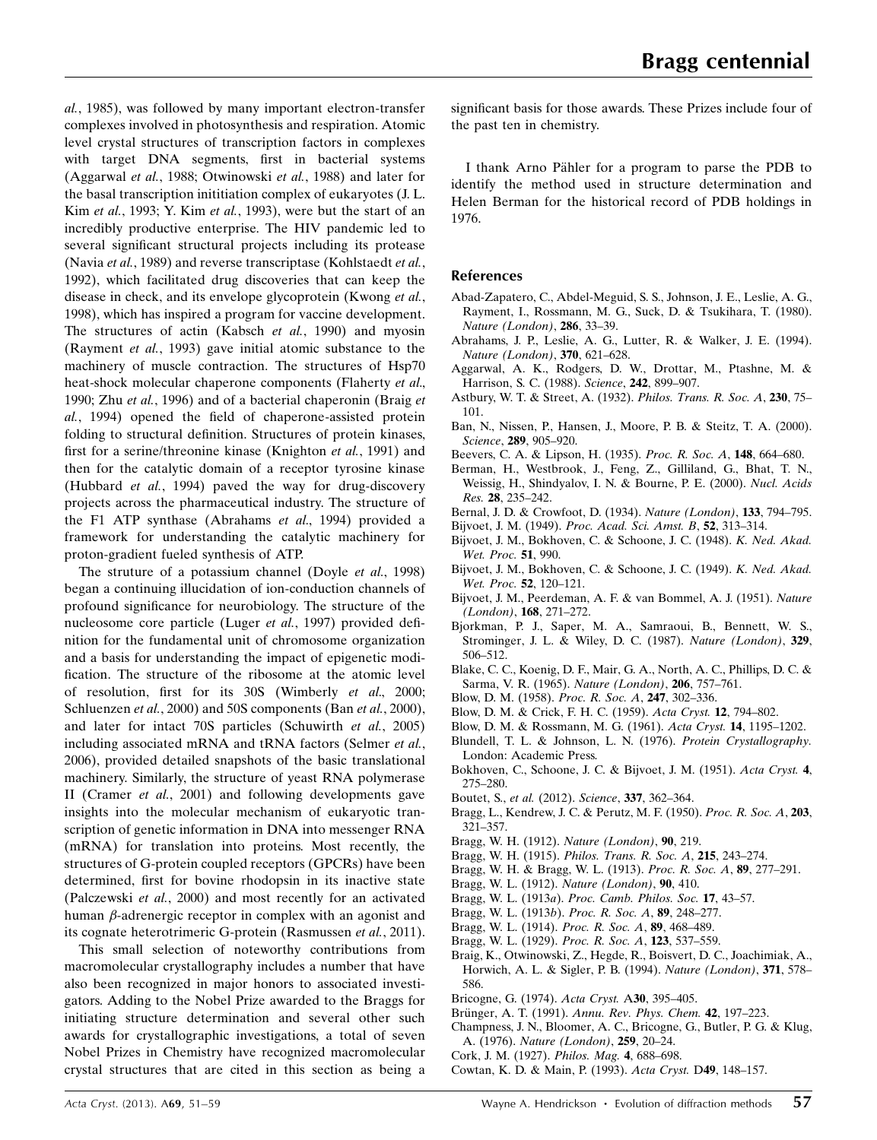al., 1985), was followed by many important electron-transfer complexes involved in photosynthesis and respiration. Atomic level crystal structures of transcription factors in complexes with target DNA segments, first in bacterial systems (Aggarwal et al., 1988; Otwinowski et al., 1988) and later for the basal transcription inititiation complex of eukaryotes (J. L. Kim et al., 1993; Y. Kim et al., 1993), were but the start of an incredibly productive enterprise. The HIV pandemic led to several significant structural projects including its protease (Navia et al., 1989) and reverse transcriptase (Kohlstaedt et al., 1992), which facilitated drug discoveries that can keep the disease in check, and its envelope glycoprotein (Kwong et al., 1998), which has inspired a program for vaccine development. The structures of actin (Kabsch et al., 1990) and myosin (Rayment et al., 1993) gave initial atomic substance to the machinery of muscle contraction. The structures of Hsp70 heat-shock molecular chaperone components (Flaherty *et al.*, 1990; Zhu et al., 1996) and of a bacterial chaperonin (Braig et al., 1994) opened the field of chaperone-assisted protein folding to structural definition. Structures of protein kinases, first for a serine/threonine kinase (Knighton et al., 1991) and then for the catalytic domain of a receptor tyrosine kinase (Hubbard et al., 1994) paved the way for drug-discovery projects across the pharmaceutical industry. The structure of the F1 ATP synthase (Abrahams et al., 1994) provided a framework for understanding the catalytic machinery for proton-gradient fueled synthesis of ATP.

The struture of a potassium channel (Doyle *et al.*, 1998) began a continuing illucidation of ion-conduction channels of profound significance for neurobiology. The structure of the nucleosome core particle (Luger et al., 1997) provided definition for the fundamental unit of chromosome organization and a basis for understanding the impact of epigenetic modification. The structure of the ribosome at the atomic level of resolution, first for its 30S (Wimberly et al., 2000; Schluenzen et al., 2000) and 50S components (Ban et al., 2000), and later for intact 70S particles (Schuwirth et al., 2005) including associated mRNA and tRNA factors (Selmer et al., 2006), provided detailed snapshots of the basic translational machinery. Similarly, the structure of yeast RNA polymerase II (Cramer et al., 2001) and following developments gave insights into the molecular mechanism of eukaryotic transcription of genetic information in DNA into messenger RNA (mRNA) for translation into proteins. Most recently, the structures of G-protein coupled receptors (GPCRs) have been determined, first for bovine rhodopsin in its inactive state (Palczewski et al., 2000) and most recently for an activated human  $\beta$ -adrenergic receptor in complex with an agonist and its cognate heterotrimeric G-protein (Rasmussen et al., 2011).

This small selection of noteworthy contributions from macromolecular crystallography includes a number that have also been recognized in major honors to associated investigators. Adding to the Nobel Prize awarded to the Braggs for initiating structure determination and several other such awards for crystallographic investigations, a total of seven Nobel Prizes in Chemistry have recognized macromolecular crystal structures that are cited in this section as being a significant basis for those awards. These Prizes include four of the past ten in chemistry.

I thank Arno Pähler for a program to parse the PDB to identify the method used in structure determination and Helen Berman for the historical record of PDB holdings in 1976.

## References

- [Abad-Zapatero, C., Abdel-Meguid, S. S., Johnson, J. E., Leslie, A. G.,](http://scripts.iucr.org/cgi-bin/cr.cgi?rm=pdfbb&cnor=wl0020&bbid=BB1) [Rayment, I., Rossmann, M. G., Suck, D. & Tsukihara, T. \(1980\).](http://scripts.iucr.org/cgi-bin/cr.cgi?rm=pdfbb&cnor=wl0020&bbid=BB1) [Nature \(London\)](http://scripts.iucr.org/cgi-bin/cr.cgi?rm=pdfbb&cnor=wl0020&bbid=BB1), 286, 33–39.
- [Abrahams, J. P., Leslie, A. G., Lutter, R. & Walker, J. E. \(1994\).](http://scripts.iucr.org/cgi-bin/cr.cgi?rm=pdfbb&cnor=wl0020&bbid=BB2) [Nature \(London\)](http://scripts.iucr.org/cgi-bin/cr.cgi?rm=pdfbb&cnor=wl0020&bbid=BB2), 370, 621–628.
- [Aggarwal, A. K., Rodgers, D. W., Drottar, M., Ptashne, M. &](http://scripts.iucr.org/cgi-bin/cr.cgi?rm=pdfbb&cnor=wl0020&bbid=BB3) [Harrison, S. C. \(1988\).](http://scripts.iucr.org/cgi-bin/cr.cgi?rm=pdfbb&cnor=wl0020&bbid=BB3) Science, 242, 899–907.
- [Astbury, W. T. & Street, A. \(1932\).](http://scripts.iucr.org/cgi-bin/cr.cgi?rm=pdfbb&cnor=wl0020&bbid=BB4) Philos. Trans. R. Soc. A, 230, 75-[101.](http://scripts.iucr.org/cgi-bin/cr.cgi?rm=pdfbb&cnor=wl0020&bbid=BB4)
- [Ban, N., Nissen, P., Hansen, J., Moore, P. B. & Steitz, T. A. \(2000\).](http://scripts.iucr.org/cgi-bin/cr.cgi?rm=pdfbb&cnor=wl0020&bbid=BB5) Science, 289[, 905–920.](http://scripts.iucr.org/cgi-bin/cr.cgi?rm=pdfbb&cnor=wl0020&bbid=BB5)
- [Beevers, C. A. & Lipson, H. \(1935\).](http://scripts.iucr.org/cgi-bin/cr.cgi?rm=pdfbb&cnor=wl0020&bbid=BB6) Proc. R. Soc. A, 148, 664–680.
- [Berman, H., Westbrook, J., Feng, Z., Gilliland, G., Bhat, T. N.,](http://scripts.iucr.org/cgi-bin/cr.cgi?rm=pdfbb&cnor=wl0020&bbid=BB7) [Weissig, H., Shindyalov, I. N. & Bourne, P. E. \(2000\).](http://scripts.iucr.org/cgi-bin/cr.cgi?rm=pdfbb&cnor=wl0020&bbid=BB7) Nucl. Acids Res. 28[, 235–242.](http://scripts.iucr.org/cgi-bin/cr.cgi?rm=pdfbb&cnor=wl0020&bbid=BB7)
- [Bernal, J. D. & Crowfoot, D. \(1934\).](http://scripts.iucr.org/cgi-bin/cr.cgi?rm=pdfbb&cnor=wl0020&bbid=BB8) Nature (London), 133, 794–795.
- Bijvoet, J. M. (1949). [Proc. Acad. Sci. Amst. B](http://scripts.iucr.org/cgi-bin/cr.cgi?rm=pdfbb&cnor=wl0020&bbid=BB9), 52, 313–314.
- [Bijvoet, J. M., Bokhoven, C. & Schoone, J. C. \(1948\).](http://scripts.iucr.org/cgi-bin/cr.cgi?rm=pdfbb&cnor=wl0020&bbid=BB10) K. Ned. Akad. [Wet. Proc.](http://scripts.iucr.org/cgi-bin/cr.cgi?rm=pdfbb&cnor=wl0020&bbid=BB10) 51, 990.
- [Bijvoet, J. M., Bokhoven, C. & Schoone, J. C. \(1949\).](http://scripts.iucr.org/cgi-bin/cr.cgi?rm=pdfbb&cnor=wl0020&bbid=BB11) K. Ned. Akad. [Wet. Proc.](http://scripts.iucr.org/cgi-bin/cr.cgi?rm=pdfbb&cnor=wl0020&bbid=BB11) 52, 120-121.
- [Bijvoet, J. M., Peerdeman, A. F. & van Bommel, A. J. \(1951\).](http://scripts.iucr.org/cgi-bin/cr.cgi?rm=pdfbb&cnor=wl0020&bbid=BB12) Nature (London), 168[, 271–272.](http://scripts.iucr.org/cgi-bin/cr.cgi?rm=pdfbb&cnor=wl0020&bbid=BB12)
- [Bjorkman, P. J., Saper, M. A., Samraoui, B., Bennett, W. S.,](http://scripts.iucr.org/cgi-bin/cr.cgi?rm=pdfbb&cnor=wl0020&bbid=BB13) [Strominger, J. L. & Wiley, D. C. \(1987\).](http://scripts.iucr.org/cgi-bin/cr.cgi?rm=pdfbb&cnor=wl0020&bbid=BB13) Nature (London), 329, [506–512.](http://scripts.iucr.org/cgi-bin/cr.cgi?rm=pdfbb&cnor=wl0020&bbid=BB13)
- [Blake, C. C., Koenig, D. F., Mair, G. A., North, A. C., Phillips, D. C. &](http://scripts.iucr.org/cgi-bin/cr.cgi?rm=pdfbb&cnor=wl0020&bbid=BB14) [Sarma, V. R. \(1965\).](http://scripts.iucr.org/cgi-bin/cr.cgi?rm=pdfbb&cnor=wl0020&bbid=BB14) Nature (London), 206, 757–761.
- [Blow, D. M. \(1958\).](http://scripts.iucr.org/cgi-bin/cr.cgi?rm=pdfbb&cnor=wl0020&bbid=BB15) Proc. R. Soc. A, 247, 302–336.
- [Blow, D. M. & Crick, F. H. C. \(1959\).](http://scripts.iucr.org/cgi-bin/cr.cgi?rm=pdfbb&cnor=wl0020&bbid=BB16) Acta Cryst. 12, 794–802.
- [Blow, D. M. & Rossmann, M. G. \(1961\).](http://scripts.iucr.org/cgi-bin/cr.cgi?rm=pdfbb&cnor=wl0020&bbid=BB17) Acta Cryst. 14, 1195–1202.
- [Blundell, T. L. & Johnson, L. N. \(1976\).](http://scripts.iucr.org/cgi-bin/cr.cgi?rm=pdfbb&cnor=wl0020&bbid=BB18) Protein Crystallography. [London: Academic Press.](http://scripts.iucr.org/cgi-bin/cr.cgi?rm=pdfbb&cnor=wl0020&bbid=BB18)
- [Bokhoven, C., Schoone, J. C. & Bijvoet, J. M. \(1951\).](http://scripts.iucr.org/cgi-bin/cr.cgi?rm=pdfbb&cnor=wl0020&bbid=BB19) Acta Cryst. 4, [275–280.](http://scripts.iucr.org/cgi-bin/cr.cgi?rm=pdfbb&cnor=wl0020&bbid=BB19)
- [Boutet, S.,](http://scripts.iucr.org/cgi-bin/cr.cgi?rm=pdfbb&cnor=wl0020&bbid=BB20) et al. (2012). Science, 337, 362–364.
- [Bragg, L., Kendrew, J. C. & Perutz, M. F. \(1950\).](http://scripts.iucr.org/cgi-bin/cr.cgi?rm=pdfbb&cnor=wl0020&bbid=BB29) Proc. R. Soc. A, 203, [321–357.](http://scripts.iucr.org/cgi-bin/cr.cgi?rm=pdfbb&cnor=wl0020&bbid=BB29)
- [Bragg, W. H. \(1912\).](http://scripts.iucr.org/cgi-bin/cr.cgi?rm=pdfbb&cnor=wl0020&bbid=BB21) Nature (London), 90, 219.
- Bragg, W. H. (1915). [Philos. Trans. R. Soc. A](http://scripts.iucr.org/cgi-bin/cr.cgi?rm=pdfbb&cnor=wl0020&bbid=BB26), 215, 243–274.
- [Bragg, W. H. & Bragg, W. L. \(1913\).](http://scripts.iucr.org/cgi-bin/cr.cgi?rm=pdfbb&cnor=wl0020&bbid=BB28) Proc. R. Soc. A, 89, 277–291.
- [Bragg, W. L. \(1912\).](http://scripts.iucr.org/cgi-bin/cr.cgi?rm=pdfbb&cnor=wl0020&bbid=BB22) Nature (London), 90, 410.
- Bragg, W. L. (1913a). [Proc. Camb. Philos. Soc.](http://scripts.iucr.org/cgi-bin/cr.cgi?rm=pdfbb&cnor=wl0020&bbid=BB23) 17, 43–57.
- [Bragg, W. L. \(1913](http://scripts.iucr.org/cgi-bin/cr.cgi?rm=pdfbb&cnor=wl0020&bbid=BB24)b). Proc. R. Soc. A, 89, 248–277.
- [Bragg, W. L. \(1914\).](http://scripts.iucr.org/cgi-bin/cr.cgi?rm=pdfbb&cnor=wl0020&bbid=BB25) Proc. R. Soc. A, 89, 468–489.
- [Bragg, W. L. \(1929\).](http://scripts.iucr.org/cgi-bin/cr.cgi?rm=pdfbb&cnor=wl0020&bbid=BB27) Proc. R. Soc. A, 123, 537–559.
- [Braig, K., Otwinowski, Z., Hegde, R., Boisvert, D. C., Joachimiak, A.,](http://scripts.iucr.org/cgi-bin/cr.cgi?rm=pdfbb&cnor=wl0020&bbid=BB30) [Horwich, A. L. & Sigler, P. B. \(1994\).](http://scripts.iucr.org/cgi-bin/cr.cgi?rm=pdfbb&cnor=wl0020&bbid=BB30) Nature (London), 371, 578– [586.](http://scripts.iucr.org/cgi-bin/cr.cgi?rm=pdfbb&cnor=wl0020&bbid=BB30)
- [Bricogne, G. \(1974\).](http://scripts.iucr.org/cgi-bin/cr.cgi?rm=pdfbb&cnor=wl0020&bbid=BB31) Acta Cryst. A30, 395–405.
- Brünger, A. T. (1991). [Annu. Rev. Phys. Chem.](http://scripts.iucr.org/cgi-bin/cr.cgi?rm=pdfbb&cnor=wl0020&bbid=BB32) 42, 197–223.
- [Champness, J. N., Bloomer, A. C., Bricogne, G., Butler, P. G. & Klug,](http://scripts.iucr.org/cgi-bin/cr.cgi?rm=pdfbb&cnor=wl0020&bbid=BB33) A. (1976). [Nature \(London\)](http://scripts.iucr.org/cgi-bin/cr.cgi?rm=pdfbb&cnor=wl0020&bbid=BB33), 259, 20–24.
- [Cork, J. M. \(1927\).](http://scripts.iucr.org/cgi-bin/cr.cgi?rm=pdfbb&cnor=wl0020&bbid=BB34) Philos. Mag. 4, 688–698.
- [Cowtan, K. D. & Main, P. \(1993\).](http://scripts.iucr.org/cgi-bin/cr.cgi?rm=pdfbb&cnor=wl0020&bbid=BB35) Acta Cryst. D49, 148–157.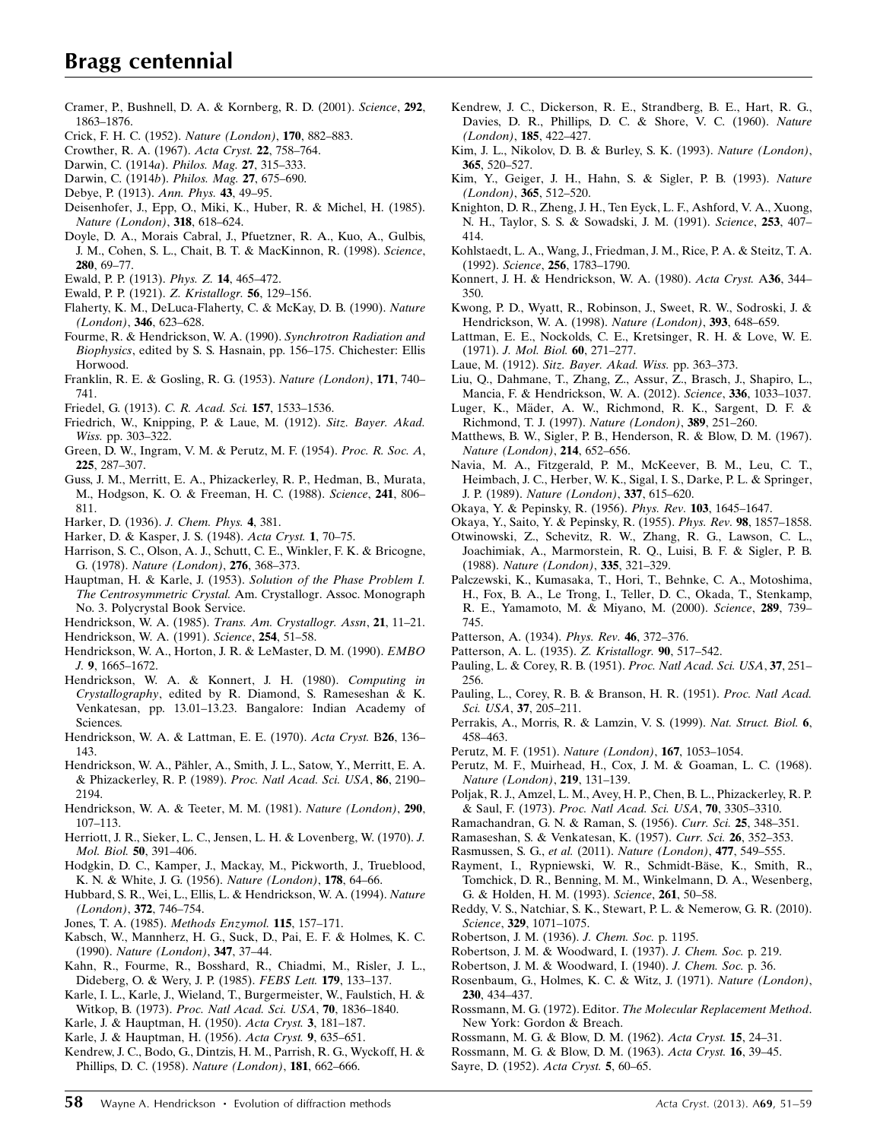- [Cramer, P., Bushnell, D. A. & Kornberg, R. D. \(2001\).](http://scripts.iucr.org/cgi-bin/cr.cgi?rm=pdfbb&cnor=wl0020&bbid=BB36) Science, 292, [1863–1876.](http://scripts.iucr.org/cgi-bin/cr.cgi?rm=pdfbb&cnor=wl0020&bbid=BB36)
- [Crick, F. H. C. \(1952\).](http://scripts.iucr.org/cgi-bin/cr.cgi?rm=pdfbb&cnor=wl0020&bbid=BB37) Nature (London), 170, 882–883.
- [Crowther, R. A. \(1967\).](http://scripts.iucr.org/cgi-bin/cr.cgi?rm=pdfbb&cnor=wl0020&bbid=BB38) Acta Cryst. 22, 758–764.
- [Darwin, C. \(1914](http://scripts.iucr.org/cgi-bin/cr.cgi?rm=pdfbb&cnor=wl0020&bbid=BB39)a). Philos. Mag. 27, 315–333.
- [Darwin, C. \(1914](http://scripts.iucr.org/cgi-bin/cr.cgi?rm=pdfbb&cnor=wl0020&bbid=BB239)b). Philos. Mag. 27, 675–690.
- [Debye, P. \(1913\).](http://scripts.iucr.org/cgi-bin/cr.cgi?rm=pdfbb&cnor=wl0020&bbid=BB40) Ann. Phys. 43, 49–95.
- [Deisenhofer, J., Epp, O., Miki, K., Huber, R. & Michel, H. \(1985\).](http://scripts.iucr.org/cgi-bin/cr.cgi?rm=pdfbb&cnor=wl0020&bbid=BB41) [Nature \(London\)](http://scripts.iucr.org/cgi-bin/cr.cgi?rm=pdfbb&cnor=wl0020&bbid=BB41), 318, 618–624.
- [Doyle, D. A., Morais Cabral, J., Pfuetzner, R. A., Kuo, A., Gulbis,](http://scripts.iucr.org/cgi-bin/cr.cgi?rm=pdfbb&cnor=wl0020&bbid=BB42) [J. M., Cohen, S. L., Chait, B. T. & MacKinnon, R. \(1998\).](http://scripts.iucr.org/cgi-bin/cr.cgi?rm=pdfbb&cnor=wl0020&bbid=BB42) Science, 280[, 69–77.](http://scripts.iucr.org/cgi-bin/cr.cgi?rm=pdfbb&cnor=wl0020&bbid=BB42)
- [Ewald, P. P. \(1913\).](http://scripts.iucr.org/cgi-bin/cr.cgi?rm=pdfbb&cnor=wl0020&bbid=BB43) Phys. Z. 14, 465–472.
- [Ewald, P. P. \(1921\).](http://scripts.iucr.org/cgi-bin/cr.cgi?rm=pdfbb&cnor=wl0020&bbid=BB44) Z. Kristallogr. 56, 129–156.
- [Flaherty, K. M., DeLuca-Flaherty, C. & McKay, D. B. \(1990\).](http://scripts.iucr.org/cgi-bin/cr.cgi?rm=pdfbb&cnor=wl0020&bbid=BB45) Nature (London), 346[, 623–628.](http://scripts.iucr.org/cgi-bin/cr.cgi?rm=pdfbb&cnor=wl0020&bbid=BB45)
- [Fourme, R. & Hendrickson, W. A. \(1990\).](http://scripts.iucr.org/cgi-bin/cr.cgi?rm=pdfbb&cnor=wl0020&bbid=BB100) Synchrotron Radiation and Biophysics[, edited by S. S. Hasnain, pp. 156–175. Chichester: Ellis](http://scripts.iucr.org/cgi-bin/cr.cgi?rm=pdfbb&cnor=wl0020&bbid=BB100) [Horwood.](http://scripts.iucr.org/cgi-bin/cr.cgi?rm=pdfbb&cnor=wl0020&bbid=BB100)
- [Franklin, R. E. & Gosling, R. G. \(1953\).](http://scripts.iucr.org/cgi-bin/cr.cgi?rm=pdfbb&cnor=wl0020&bbid=BB46) Nature (London), 171, 740– [741.](http://scripts.iucr.org/cgi-bin/cr.cgi?rm=pdfbb&cnor=wl0020&bbid=BB46)
- [Friedel, G. \(1913\).](http://scripts.iucr.org/cgi-bin/cr.cgi?rm=pdfbb&cnor=wl0020&bbid=BB47) C. R. Acad. Sci. 157, 1533–1536.
- [Friedrich, W., Knipping, P. & Laue, M. \(1912\).](http://scripts.iucr.org/cgi-bin/cr.cgi?rm=pdfbb&cnor=wl0020&bbid=BB48) Sitz. Bayer. Akad. Wiss. [pp. 303–322.](http://scripts.iucr.org/cgi-bin/cr.cgi?rm=pdfbb&cnor=wl0020&bbid=BB48)
- [Green, D. W., Ingram, V. M. & Perutz, M. F. \(1954\).](http://scripts.iucr.org/cgi-bin/cr.cgi?rm=pdfbb&cnor=wl0020&bbid=BB49) Proc. R. Soc. A, 225[, 287–307.](http://scripts.iucr.org/cgi-bin/cr.cgi?rm=pdfbb&cnor=wl0020&bbid=BB49)
- [Guss, J. M., Merritt, E. A., Phizackerley, R. P., Hedman, B., Murata,](http://scripts.iucr.org/cgi-bin/cr.cgi?rm=pdfbb&cnor=wl0020&bbid=BB50) [M., Hodgson, K. O. & Freeman, H. C. \(1988\).](http://scripts.iucr.org/cgi-bin/cr.cgi?rm=pdfbb&cnor=wl0020&bbid=BB50) Science, 241, 806– [811.](http://scripts.iucr.org/cgi-bin/cr.cgi?rm=pdfbb&cnor=wl0020&bbid=BB50)
- [Harker, D. \(1936\).](http://scripts.iucr.org/cgi-bin/cr.cgi?rm=pdfbb&cnor=wl0020&bbid=BB51) J. Chem. Phys. 4, 381.
- [Harker, D. & Kasper, J. S. \(1948\).](http://scripts.iucr.org/cgi-bin/cr.cgi?rm=pdfbb&cnor=wl0020&bbid=BB52) Acta Cryst. 1, 70–75.
- [Harrison, S. C., Olson, A. J., Schutt, C. E., Winkler, F. K. & Bricogne,](http://scripts.iucr.org/cgi-bin/cr.cgi?rm=pdfbb&cnor=wl0020&bbid=BB302) G. (1978). [Nature \(London\)](http://scripts.iucr.org/cgi-bin/cr.cgi?rm=pdfbb&cnor=wl0020&bbid=BB302), 276, 368–373.
- [Hauptman, H. & Karle, J. \(1953\).](http://scripts.iucr.org/cgi-bin/cr.cgi?rm=pdfbb&cnor=wl0020&bbid=BB53) Solution of the Phase Problem I. The Centrosymmetric Crystal. [Am. Crystallogr. Assoc. Monograph](http://scripts.iucr.org/cgi-bin/cr.cgi?rm=pdfbb&cnor=wl0020&bbid=BB53) [No. 3. Polycrystal Book Service.](http://scripts.iucr.org/cgi-bin/cr.cgi?rm=pdfbb&cnor=wl0020&bbid=BB53)
- Hendrickson, W. A. (1985). [Trans. Am. Crystallogr. Assn](http://scripts.iucr.org/cgi-bin/cr.cgi?rm=pdfbb&cnor=wl0020&bbid=BB54), 21, 11–21.
- [Hendrickson, W. A. \(1991\).](http://scripts.iucr.org/cgi-bin/cr.cgi?rm=pdfbb&cnor=wl0020&bbid=BB55) Science, 254, 51–58.
- [Hendrickson, W. A., Horton, J. R. & LeMaster, D. M. \(1990\).](http://scripts.iucr.org/cgi-bin/cr.cgi?rm=pdfbb&cnor=wl0020&bbid=BB56) EMBO J. 9[, 1665–1672.](http://scripts.iucr.org/cgi-bin/cr.cgi?rm=pdfbb&cnor=wl0020&bbid=BB56)
- [Hendrickson, W. A. & Konnert, J. H. \(1980\).](http://scripts.iucr.org/cgi-bin/cr.cgi?rm=pdfbb&cnor=wl0020&bbid=BB57) Computing in Crystallography[, edited by R. Diamond, S. Rameseshan & K.](http://scripts.iucr.org/cgi-bin/cr.cgi?rm=pdfbb&cnor=wl0020&bbid=BB57) [Venkatesan, pp. 13.01–13.23. Bangalore: Indian Academy of](http://scripts.iucr.org/cgi-bin/cr.cgi?rm=pdfbb&cnor=wl0020&bbid=BB57) [Sciences.](http://scripts.iucr.org/cgi-bin/cr.cgi?rm=pdfbb&cnor=wl0020&bbid=BB57)
- [Hendrickson, W. A. & Lattman, E. E. \(1970\).](http://scripts.iucr.org/cgi-bin/cr.cgi?rm=pdfbb&cnor=wl0020&bbid=BB58) Acta Cryst. B26, 136– [143.](http://scripts.iucr.org/cgi-bin/cr.cgi?rm=pdfbb&cnor=wl0020&bbid=BB58)
- Hendrickson, W. A., Pähler, A., Smith, J. L., Satow, Y., Merritt, E. A. [& Phizackerley, R. P. \(1989\).](http://scripts.iucr.org/cgi-bin/cr.cgi?rm=pdfbb&cnor=wl0020&bbid=BB59) Proc. Natl Acad. Sci. USA, 86, 2190– [2194.](http://scripts.iucr.org/cgi-bin/cr.cgi?rm=pdfbb&cnor=wl0020&bbid=BB59)
- [Hendrickson, W. A. & Teeter, M. M. \(1981\).](http://scripts.iucr.org/cgi-bin/cr.cgi?rm=pdfbb&cnor=wl0020&bbid=BB60) Nature (London), 290, [107–113.](http://scripts.iucr.org/cgi-bin/cr.cgi?rm=pdfbb&cnor=wl0020&bbid=BB60)
- [Herriott, J. R., Sieker, L. C., Jensen, L. H. & Lovenberg, W. \(1970\).](http://scripts.iucr.org/cgi-bin/cr.cgi?rm=pdfbb&cnor=wl0020&bbid=BB61) J. [Mol. Biol.](http://scripts.iucr.org/cgi-bin/cr.cgi?rm=pdfbb&cnor=wl0020&bbid=BB61) 50, 391–406.
- [Hodgkin, D. C., Kamper, J., Mackay, M., Pickworth, J., Trueblood,](http://scripts.iucr.org/cgi-bin/cr.cgi?rm=pdfbb&cnor=wl0020&bbid=BB62) [K. N. & White, J. G. \(1956\).](http://scripts.iucr.org/cgi-bin/cr.cgi?rm=pdfbb&cnor=wl0020&bbid=BB62) Nature (London), 178, 64–66.
- [Hubbard, S. R., Wei, L., Ellis, L. & Hendrickson, W. A. \(1994\).](http://scripts.iucr.org/cgi-bin/cr.cgi?rm=pdfbb&cnor=wl0020&bbid=BB63) Nature (London), 372[, 746–754.](http://scripts.iucr.org/cgi-bin/cr.cgi?rm=pdfbb&cnor=wl0020&bbid=BB63)
- [Jones, T. A. \(1985\).](http://scripts.iucr.org/cgi-bin/cr.cgi?rm=pdfbb&cnor=wl0020&bbid=BB64) Methods Enzymol. 115, 157–171.
- [Kabsch, W., Mannherz, H. G., Suck, D., Pai, E. F. & Holmes, K. C.](http://scripts.iucr.org/cgi-bin/cr.cgi?rm=pdfbb&cnor=wl0020&bbid=BB65) (1990). [Nature \(London\)](http://scripts.iucr.org/cgi-bin/cr.cgi?rm=pdfbb&cnor=wl0020&bbid=BB65), 347, 37–44.
- [Kahn, R., Fourme, R., Bosshard, R., Chiadmi, M., Risler, J. L.,](http://scripts.iucr.org/cgi-bin/cr.cgi?rm=pdfbb&cnor=wl0020&bbid=BB66) [Dideberg, O. & Wery, J. P. \(1985\).](http://scripts.iucr.org/cgi-bin/cr.cgi?rm=pdfbb&cnor=wl0020&bbid=BB66) FEBS Lett. 179, 133–137.
- [Karle, I. L., Karle, J., Wieland, T., Burgermeister, W., Faulstich, H. &](http://scripts.iucr.org/cgi-bin/cr.cgi?rm=pdfbb&cnor=wl0020&bbid=BB69) Witkop, B. (1973). [Proc. Natl Acad. Sci. USA](http://scripts.iucr.org/cgi-bin/cr.cgi?rm=pdfbb&cnor=wl0020&bbid=BB69), 70, 1836-1840.
- [Karle, J. & Hauptman, H. \(1950\).](http://scripts.iucr.org/cgi-bin/cr.cgi?rm=pdfbb&cnor=wl0020&bbid=BB67) Acta Cryst. 3, 181–187.
- [Karle, J. & Hauptman, H. \(1956\).](http://scripts.iucr.org/cgi-bin/cr.cgi?rm=pdfbb&cnor=wl0020&bbid=BB68) Acta Cryst. 9, 635–651.
- [Kendrew, J. C., Bodo, G., Dintzis, H. M., Parrish, R. G., Wyckoff, H. &](http://scripts.iucr.org/cgi-bin/cr.cgi?rm=pdfbb&cnor=wl0020&bbid=BB70) [Phillips, D. C. \(1958\).](http://scripts.iucr.org/cgi-bin/cr.cgi?rm=pdfbb&cnor=wl0020&bbid=BB70) Nature (London), 181, 662–666.
- [Kendrew, J. C., Dickerson, R. E., Strandberg, B. E., Hart, R. G.,](http://scripts.iucr.org/cgi-bin/cr.cgi?rm=pdfbb&cnor=wl0020&bbid=BB71) [Davies, D. R., Phillips, D. C. & Shore, V. C. \(1960\).](http://scripts.iucr.org/cgi-bin/cr.cgi?rm=pdfbb&cnor=wl0020&bbid=BB71) Nature (London), 185[, 422–427.](http://scripts.iucr.org/cgi-bin/cr.cgi?rm=pdfbb&cnor=wl0020&bbid=BB71)
- [Kim, J. L., Nikolov, D. B. & Burley, S. K. \(1993\).](http://scripts.iucr.org/cgi-bin/cr.cgi?rm=pdfbb&cnor=wl0020&bbid=BB73) Nature (London), 365[, 520–527.](http://scripts.iucr.org/cgi-bin/cr.cgi?rm=pdfbb&cnor=wl0020&bbid=BB73)
- [Kim, Y., Geiger, J. H., Hahn, S. & Sigler, P. B. \(1993\).](http://scripts.iucr.org/cgi-bin/cr.cgi?rm=pdfbb&cnor=wl0020&bbid=BB72) Nature (London), 365[, 512–520.](http://scripts.iucr.org/cgi-bin/cr.cgi?rm=pdfbb&cnor=wl0020&bbid=BB72)
- [Knighton, D. R., Zheng, J. H., Ten Eyck, L. F., Ashford, V. A., Xuong,](http://scripts.iucr.org/cgi-bin/cr.cgi?rm=pdfbb&cnor=wl0020&bbid=BB74) [N. H., Taylor, S. S. & Sowadski, J. M. \(1991\).](http://scripts.iucr.org/cgi-bin/cr.cgi?rm=pdfbb&cnor=wl0020&bbid=BB74) Science, 253, 407– [414.](http://scripts.iucr.org/cgi-bin/cr.cgi?rm=pdfbb&cnor=wl0020&bbid=BB74)
- [Kohlstaedt, L. A., Wang, J., Friedman, J. M., Rice, P. A. & Steitz, T. A.](http://scripts.iucr.org/cgi-bin/cr.cgi?rm=pdfbb&cnor=wl0020&bbid=BB75) (1992). Science, 256[, 1783–1790.](http://scripts.iucr.org/cgi-bin/cr.cgi?rm=pdfbb&cnor=wl0020&bbid=BB75)
- [Konnert, J. H. & Hendrickson, W. A. \(1980\).](http://scripts.iucr.org/cgi-bin/cr.cgi?rm=pdfbb&cnor=wl0020&bbid=BB76) Acta Cryst. A36, 344– [350.](http://scripts.iucr.org/cgi-bin/cr.cgi?rm=pdfbb&cnor=wl0020&bbid=BB76)
- [Kwong, P. D., Wyatt, R., Robinson, J., Sweet, R. W., Sodroski, J. &](http://scripts.iucr.org/cgi-bin/cr.cgi?rm=pdfbb&cnor=wl0020&bbid=BB77) [Hendrickson, W. A. \(1998\).](http://scripts.iucr.org/cgi-bin/cr.cgi?rm=pdfbb&cnor=wl0020&bbid=BB77) Nature (London), 393, 648–659.
- [Lattman, E. E., Nockolds, C. E., Kretsinger, R. H. & Love, W. E.](http://scripts.iucr.org/cgi-bin/cr.cgi?rm=pdfbb&cnor=wl0020&bbid=BB300) (1971). [J. Mol. Biol.](http://scripts.iucr.org/cgi-bin/cr.cgi?rm=pdfbb&cnor=wl0020&bbid=BB300) 60, 271–277.
- Laue, M. (1912). [Sitz. Bayer. Akad. Wiss.](http://scripts.iucr.org/cgi-bin/cr.cgi?rm=pdfbb&cnor=wl0020&bbid=BB78) pp. 363–373.
- [Liu, Q., Dahmane, T., Zhang, Z., Assur, Z., Brasch, J., Shapiro, L.,](http://scripts.iucr.org/cgi-bin/cr.cgi?rm=pdfbb&cnor=wl0020&bbid=BB79) [Mancia, F. & Hendrickson, W. A. \(2012\).](http://scripts.iucr.org/cgi-bin/cr.cgi?rm=pdfbb&cnor=wl0020&bbid=BB79) Science, 336, 1033–1037.
- Luger, K., Mäder, A. W., Richmond, R. K., Sargent, D. F. & [Richmond, T. J. \(1997\).](http://scripts.iucr.org/cgi-bin/cr.cgi?rm=pdfbb&cnor=wl0020&bbid=BB80) Nature (London), 389, 251–260.
- [Matthews, B. W., Sigler, P. B., Henderson, R. & Blow, D. M. \(1967\).](http://scripts.iucr.org/cgi-bin/cr.cgi?rm=pdfbb&cnor=wl0020&bbid=BB81) [Nature \(London\)](http://scripts.iucr.org/cgi-bin/cr.cgi?rm=pdfbb&cnor=wl0020&bbid=BB81), 214, 652–656.
- [Navia, M. A., Fitzgerald, P. M., McKeever, B. M., Leu, C. T.,](http://scripts.iucr.org/cgi-bin/cr.cgi?rm=pdfbb&cnor=wl0020&bbid=BB82) [Heimbach, J. C., Herber, W. K., Sigal, I. S., Darke, P. L. & Springer,](http://scripts.iucr.org/cgi-bin/cr.cgi?rm=pdfbb&cnor=wl0020&bbid=BB82) J. P. (1989). [Nature \(London\)](http://scripts.iucr.org/cgi-bin/cr.cgi?rm=pdfbb&cnor=wl0020&bbid=BB82), 337, 615–620.
- [Okaya, Y. & Pepinsky, R. \(1956\).](http://scripts.iucr.org/cgi-bin/cr.cgi?rm=pdfbb&cnor=wl0020&bbid=BB83) Phys. Rev. 103, 1645–1647.
- [Okaya, Y., Saito, Y. & Pepinsky, R. \(1955\).](http://scripts.iucr.org/cgi-bin/cr.cgi?rm=pdfbb&cnor=wl0020&bbid=BB84) Phys. Rev. 98, 1857–1858.
- [Otwinowski, Z., Schevitz, R. W., Zhang, R. G., Lawson, C. L.,](http://scripts.iucr.org/cgi-bin/cr.cgi?rm=pdfbb&cnor=wl0020&bbid=BB85) [Joachimiak, A., Marmorstein, R. Q., Luisi, B. F. & Sigler, P. B.](http://scripts.iucr.org/cgi-bin/cr.cgi?rm=pdfbb&cnor=wl0020&bbid=BB85) (1988). [Nature \(London\)](http://scripts.iucr.org/cgi-bin/cr.cgi?rm=pdfbb&cnor=wl0020&bbid=BB85), 335, 321–329.
- [Palczewski, K., Kumasaka, T., Hori, T., Behnke, C. A., Motoshima,](http://scripts.iucr.org/cgi-bin/cr.cgi?rm=pdfbb&cnor=wl0020&bbid=BB86) [H., Fox, B. A., Le Trong, I., Teller, D. C., Okada, T., Stenkamp,](http://scripts.iucr.org/cgi-bin/cr.cgi?rm=pdfbb&cnor=wl0020&bbid=BB86) [R. E., Yamamoto, M. & Miyano, M. \(2000\).](http://scripts.iucr.org/cgi-bin/cr.cgi?rm=pdfbb&cnor=wl0020&bbid=BB86) Science, 289, 739– [745.](http://scripts.iucr.org/cgi-bin/cr.cgi?rm=pdfbb&cnor=wl0020&bbid=BB86)
- [Patterson, A. \(1934\).](http://scripts.iucr.org/cgi-bin/cr.cgi?rm=pdfbb&cnor=wl0020&bbid=BB87) Phys. Rev. 46, 372–376.
- [Patterson, A. L. \(1935\).](http://scripts.iucr.org/cgi-bin/cr.cgi?rm=pdfbb&cnor=wl0020&bbid=BB88) Z. Kristallogr. 90, 517–542.
- [Pauling, L. & Corey, R. B. \(1951\).](http://scripts.iucr.org/cgi-bin/cr.cgi?rm=pdfbb&cnor=wl0020&bbid=BB89) Proc. Natl Acad. Sci. USA, 37, 251– [256.](http://scripts.iucr.org/cgi-bin/cr.cgi?rm=pdfbb&cnor=wl0020&bbid=BB89)
- [Pauling, L., Corey, R. B. & Branson, H. R. \(1951\).](http://scripts.iucr.org/cgi-bin/cr.cgi?rm=pdfbb&cnor=wl0020&bbid=BB90) Proc. Natl Acad. Sci. USA, 37[, 205–211.](http://scripts.iucr.org/cgi-bin/cr.cgi?rm=pdfbb&cnor=wl0020&bbid=BB90)
- [Perrakis, A., Morris, R. & Lamzin, V. S. \(1999\).](http://scripts.iucr.org/cgi-bin/cr.cgi?rm=pdfbb&cnor=wl0020&bbid=BB91) Nat. Struct. Biol. 6, [458–463.](http://scripts.iucr.org/cgi-bin/cr.cgi?rm=pdfbb&cnor=wl0020&bbid=BB91)
- [Perutz, M. F. \(1951\).](http://scripts.iucr.org/cgi-bin/cr.cgi?rm=pdfbb&cnor=wl0020&bbid=BB92) Nature (London), 167, 1053–1054.
- [Perutz, M. F., Muirhead, H., Cox, J. M. & Goaman, L. C. \(1968\).](http://scripts.iucr.org/cgi-bin/cr.cgi?rm=pdfbb&cnor=wl0020&bbid=BB93) [Nature \(London\)](http://scripts.iucr.org/cgi-bin/cr.cgi?rm=pdfbb&cnor=wl0020&bbid=BB93), 219, 131–139.
- [Poljak, R. J., Amzel, L. M., Avey, H. P., Chen, B. L., Phizackerley, R. P.](http://scripts.iucr.org/cgi-bin/cr.cgi?rm=pdfbb&cnor=wl0020&bbid=BB94) & Saul, F. (1973). [Proc. Natl Acad. Sci. USA](http://scripts.iucr.org/cgi-bin/cr.cgi?rm=pdfbb&cnor=wl0020&bbid=BB94), 70, 3305–3310.
- [Ramachandran, G. N. & Raman, S. \(1956\).](http://scripts.iucr.org/cgi-bin/cr.cgi?rm=pdfbb&cnor=wl0020&bbid=BB95) Curr. Sci. 25, 348–351.
- [Ramaseshan, S. & Venkatesan, K. \(1957\).](http://scripts.iucr.org/cgi-bin/cr.cgi?rm=pdfbb&cnor=wl0020&bbid=BB96) Curr. Sci. 26, 352–353.
- [Rasmussen, S. G.,](http://scripts.iucr.org/cgi-bin/cr.cgi?rm=pdfbb&cnor=wl0020&bbid=BB97) et al. (2011). Nature (London), 477, 549–555.
- Rayment, I., Rypniewski, W. R., Schmidt-Bäse, K., Smith, R., [Tomchick, D. R., Benning, M. M., Winkelmann, D. A., Wesenberg,](http://scripts.iucr.org/cgi-bin/cr.cgi?rm=pdfbb&cnor=wl0020&bbid=BB98) [G. & Holden, H. M. \(1993\).](http://scripts.iucr.org/cgi-bin/cr.cgi?rm=pdfbb&cnor=wl0020&bbid=BB98) Science, 261, 50–58.
- [Reddy, V. S., Natchiar, S. K., Stewart, P. L. & Nemerow, G. R. \(2010\).](http://scripts.iucr.org/cgi-bin/cr.cgi?rm=pdfbb&cnor=wl0020&bbid=BB99) Science, 329[, 1071–1075.](http://scripts.iucr.org/cgi-bin/cr.cgi?rm=pdfbb&cnor=wl0020&bbid=BB99)
- [Robertson, J. M. \(1936\).](http://scripts.iucr.org/cgi-bin/cr.cgi?rm=pdfbb&cnor=wl0020&bbid=BB101) J. Chem. Soc. p. 1195.
- [Robertson, J. M. & Woodward, I. \(1937\).](http://scripts.iucr.org/cgi-bin/cr.cgi?rm=pdfbb&cnor=wl0020&bbid=BB102) J. Chem. Soc. p. 219.
- [Robertson, J. M. & Woodward, I. \(1940\).](http://scripts.iucr.org/cgi-bin/cr.cgi?rm=pdfbb&cnor=wl0020&bbid=BB103) J. Chem. Soc. p. 36.
- [Rosenbaum, G., Holmes, K. C. & Witz, J. \(1971\).](http://scripts.iucr.org/cgi-bin/cr.cgi?rm=pdfbb&cnor=wl0020&bbid=BB104) Nature (London), 230[, 434–437.](http://scripts.iucr.org/cgi-bin/cr.cgi?rm=pdfbb&cnor=wl0020&bbid=BB104)
- Rossmann, M. G. (1972). Editor. [The Molecular Replacement Method](http://scripts.iucr.org/cgi-bin/cr.cgi?rm=pdfbb&cnor=wl0020&bbid=BB301). [New York: Gordon & Breach.](http://scripts.iucr.org/cgi-bin/cr.cgi?rm=pdfbb&cnor=wl0020&bbid=BB301)
- [Rossmann, M. G. & Blow, D. M. \(1962\).](http://scripts.iucr.org/cgi-bin/cr.cgi?rm=pdfbb&cnor=wl0020&bbid=BB105) Acta Cryst. 15, 24–31.

[Rossmann, M. G. & Blow, D. M. \(1963\).](http://scripts.iucr.org/cgi-bin/cr.cgi?rm=pdfbb&cnor=wl0020&bbid=BB106) Acta Cryst. 16, 39–45.

[Sayre, D. \(1952\).](http://scripts.iucr.org/cgi-bin/cr.cgi?rm=pdfbb&cnor=wl0020&bbid=BB107) Acta Cryst. 5, 60–65.